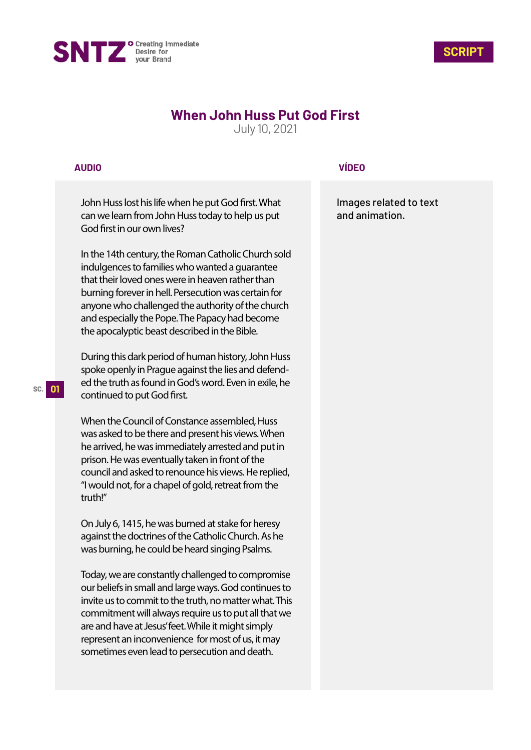



# **When John Huss Put God First**

July 10, 2021

## **AUDIO**

John Huss lost his life when he put God first. What can we learn from John Huss today to help us put God first in our own lives?

In the 14th century, the Roman Catholic Church sold indulgences to families who wanted a guarantee that their loved ones were in heaven rather than burning forever in hell. Persecution was certain for anyone who challenged the authority of the church and especially the Pope. The Papacy had become the apocalyptic beast described in the Bible.

During this dark period of human history, John Huss spoke openly in Prague against the lies and defended the truth as found in God's word. Even in exile, he continued to put God first.

When the Council of Constance assembled, Huss was asked to be there and present his views. When he arrived, he was immediately arrested and put in prison. He was eventually taken in front of the council and asked to renounce his views. He replied, "I would not, for a chapel of gold, retreat from the truth!"

On July 6, 1415, he was burned at stake for heresy against the doctrines of the Catholic Church. As he was burning, he could be heard singing Psalms.

Today, we are constantly challenged to compromise our beliefs in small and large ways. God continues to invite us to commit to the truth, no matter what. This commitment will always require us to put all that we are and have at Jesus' feet. While it might simply represent an inconvenience for most of us, it may sometimes even lead to persecution and death.

## **VÍDEO**

Images related to text and animation.